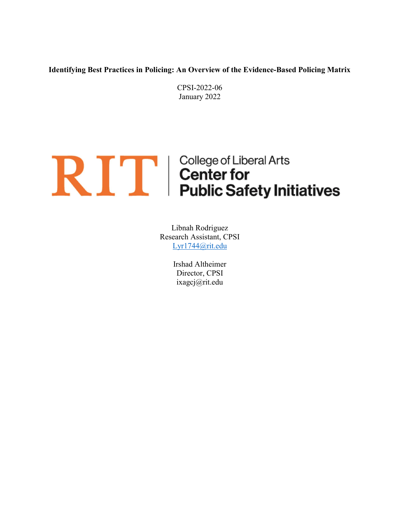Identifying Best Practices in Policing: An Overview of the Evidence-Based Policing Matrix

CPSI-2022-06 January 2022

# **RIFE College of Liberal Arts**<br> **Public Safety Initiatives**

Libnah Rodriguez Research Assistant, CPSI Lyr1744@rit.edu

> Irshad Altheimer Director, CPSI ixagcj@rit.edu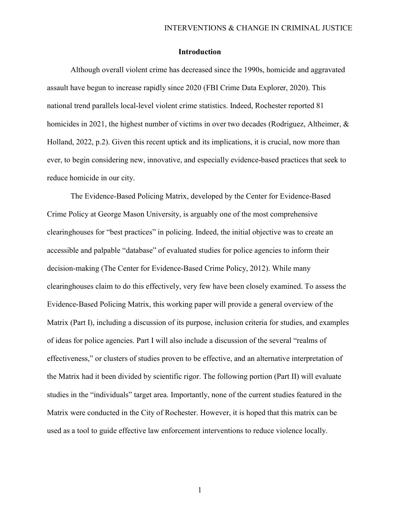# Introduction

Although overall violent crime has decreased since the 1990s, homicide and aggravated assault have begun to increase rapidly since 2020 (FBI Crime Data Explorer, 2020). This national trend parallels local-level violent crime statistics. Indeed, Rochester reported 81 homicides in 2021, the highest number of victims in over two decades (Rodriguez, Altheimer, & Holland, 2022, p.2). Given this recent uptick and its implications, it is crucial, now more than ever, to begin considering new, innovative, and especially evidence-based practices that seek to reduce homicide in our city.

The Evidence-Based Policing Matrix, developed by the Center for Evidence-Based Crime Policy at George Mason University, is arguably one of the most comprehensive clearinghouses for "best practices" in policing. Indeed, the initial objective was to create an accessible and palpable "database" of evaluated studies for police agencies to inform their decision-making (The Center for Evidence-Based Crime Policy, 2012). While many clearinghouses claim to do this effectively, very few have been closely examined. To assess the Evidence-Based Policing Matrix, this working paper will provide a general overview of the Matrix (Part I), including a discussion of its purpose, inclusion criteria for studies, and examples of ideas for police agencies. Part I will also include a discussion of the several "realms of effectiveness," or clusters of studies proven to be effective, and an alternative interpretation of the Matrix had it been divided by scientific rigor. The following portion (Part II) will evaluate studies in the "individuals" target area. Importantly, none of the current studies featured in the Matrix were conducted in the City of Rochester. However, it is hoped that this matrix can be used as a tool to guide effective law enforcement interventions to reduce violence locally.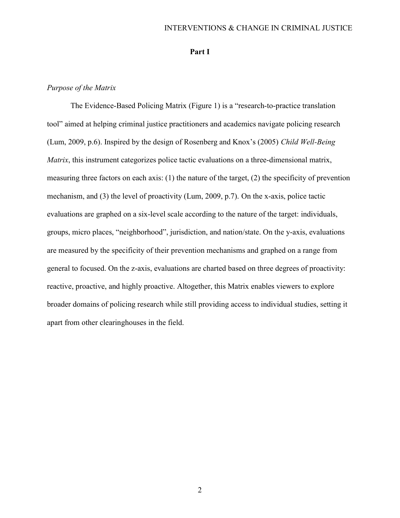## INTERVENTIONS & CHANGE IN CRIMINAL JUSTICE

## Part I

# Purpose of the Matrix

The Evidence-Based Policing Matrix (Figure 1) is a "research-to-practice translation tool" aimed at helping criminal justice practitioners and academics navigate policing research (Lum, 2009, p.6). Inspired by the design of Rosenberg and Knox's (2005) Child Well-Being Matrix, this instrument categorizes police tactic evaluations on a three-dimensional matrix, measuring three factors on each axis: (1) the nature of the target, (2) the specificity of prevention mechanism, and (3) the level of proactivity (Lum, 2009, p.7). On the x-axis, police tactic evaluations are graphed on a six-level scale according to the nature of the target: individuals, groups, micro places, "neighborhood", jurisdiction, and nation/state. On the y-axis, evaluations are measured by the specificity of their prevention mechanisms and graphed on a range from general to focused. On the z-axis, evaluations are charted based on three degrees of proactivity: reactive, proactive, and highly proactive. Altogether, this Matrix enables viewers to explore broader domains of policing research while still providing access to individual studies, setting it apart from other clearinghouses in the field.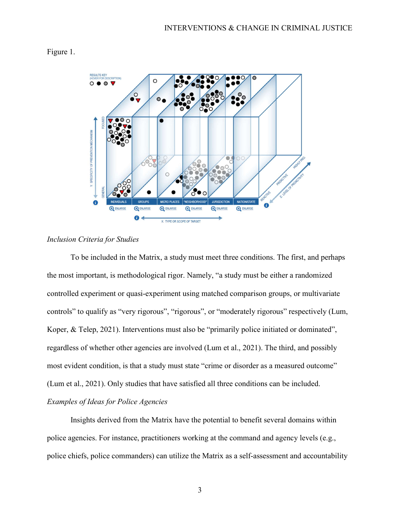



# Inclusion Criteria for Studies

 To be included in the Matrix, a study must meet three conditions. The first, and perhaps the most important, is methodological rigor. Namely, "a study must be either a randomized controlled experiment or quasi-experiment using matched comparison groups, or multivariate controls" to qualify as "very rigorous", "rigorous", or "moderately rigorous" respectively (Lum, Koper, & Telep, 2021). Interventions must also be "primarily police initiated or dominated", regardless of whether other agencies are involved (Lum et al., 2021). The third, and possibly most evident condition, is that a study must state "crime or disorder as a measured outcome" (Lum et al., 2021). Only studies that have satisfied all three conditions can be included. Examples of Ideas for Police Agencies

 Insights derived from the Matrix have the potential to benefit several domains within police agencies. For instance, practitioners working at the command and agency levels (e.g., police chiefs, police commanders) can utilize the Matrix as a self-assessment and accountability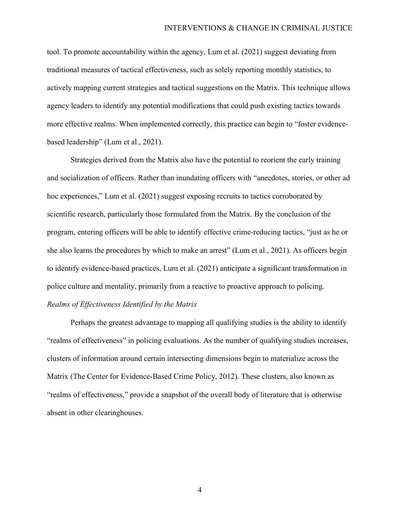tool. To promote accountability within the agency, Lum et al. (2021) suggest deviating from traditional measures of tactical effectiveness, such as solely reporting monthly statistics, to actively mapping current strategies and tactical suggestions on the Matrix. This technique allows agency leaders to identify any potential modifications that could push existing tactics towards more effective realms. When implemented correctly, this practice can begin to "foster evidencebased leadership" (Lum et al., 2021).

 Strategies derived from the Matrix also have the potential to reorient the early training and socialization of officers. Rather than inundating officers with "anecdotes, stories, or other ad hoc experiences," Lum et al. (2021) suggest exposing recruits to tactics corroborated by scientific research, particularly those formulated from the Matrix. By the conclusion of the program, entering officers will be able to identify effective crime-reducing tactics, "just as he or she also learns the procedures by which to make an arrest" (Lum et al., 2021). As officers begin to identify evidence-based practices, Lum et al. (2021) anticipate a significant transformation in police culture and mentality, primarily from a reactive to proactive approach to policing. Realms of Effectiveness Identified by the Matrix

 Perhaps the greatest advantage to mapping all qualifying studies is the ability to identify "realms of effectiveness" in policing evaluations. As the number of qualifying studies increases, clusters of information around certain intersecting dimensions begin to materialize across the Matrix (The Center for Evidence-Based Crime Policy, 2012). These clusters, also known as "realms of effectiveness," provide a snapshot of the overall body of literature that is otherwise absent in other clearinghouses.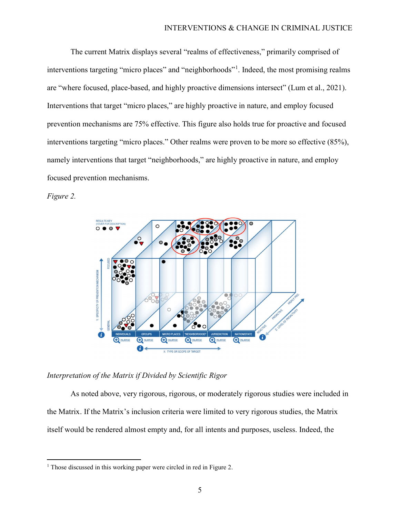The current Matrix displays several "realms of effectiveness," primarily comprised of interventions targeting "micro places" and "neighborhoods"<sup>1</sup> . Indeed, the most promising realms are "where focused, place-based, and highly proactive dimensions intersect" (Lum et al., 2021). Interventions that target "micro places," are highly proactive in nature, and employ focused prevention mechanisms are 75% effective. This figure also holds true for proactive and focused interventions targeting "micro places." Other realms were proven to be more so effective (85%), namely interventions that target "neighborhoods," are highly proactive in nature, and employ focused prevention mechanisms.

Figure 2.

 $\overline{a}$ 



Interpretation of the Matrix if Divided by Scientific Rigor

As noted above, very rigorous, rigorous, or moderately rigorous studies were included in the Matrix. If the Matrix's inclusion criteria were limited to very rigorous studies, the Matrix itself would be rendered almost empty and, for all intents and purposes, useless. Indeed, the

<sup>&</sup>lt;sup>1</sup> Those discussed in this working paper were circled in red in Figure 2.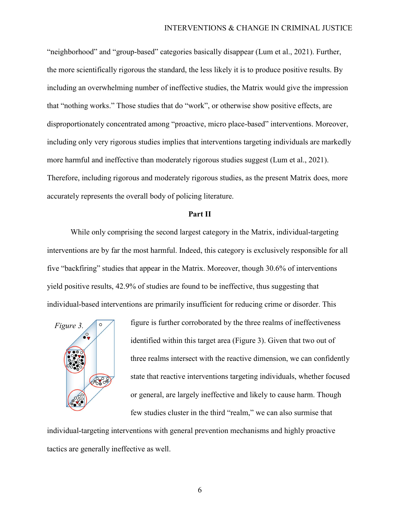"neighborhood" and "group-based" categories basically disappear (Lum et al., 2021). Further, the more scientifically rigorous the standard, the less likely it is to produce positive results. By including an overwhelming number of ineffective studies, the Matrix would give the impression that "nothing works." Those studies that do "work", or otherwise show positive effects, are disproportionately concentrated among "proactive, micro place-based" interventions. Moreover, including only very rigorous studies implies that interventions targeting individuals are markedly more harmful and ineffective than moderately rigorous studies suggest (Lum et al., 2021). Therefore, including rigorous and moderately rigorous studies, as the present Matrix does, more accurately represents the overall body of policing literature.

#### Part II

 While only comprising the second largest category in the Matrix, individual-targeting interventions are by far the most harmful. Indeed, this category is exclusively responsible for all five "backfiring" studies that appear in the Matrix. Moreover, though 30.6% of interventions yield positive results, 42.9% of studies are found to be ineffective, thus suggesting that individual-based interventions are primarily insufficient for reducing crime or disorder. This



figure is further corroborated by the three realms of ineffectiveness identified within this target area (Figure 3). Given that two out of three realms intersect with the reactive dimension, we can confidently state that reactive interventions targeting individuals, whether focused or general, are largely ineffective and likely to cause harm. Though few studies cluster in the third "realm," we can also surmise that

individual-targeting interventions with general prevention mechanisms and highly proactive tactics are generally ineffective as well.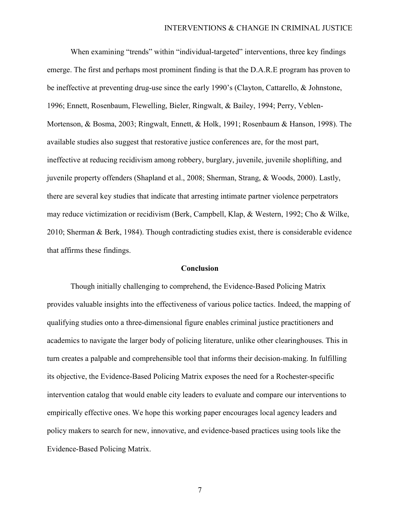When examining "trends" within "individual-targeted" interventions, three key findings emerge. The first and perhaps most prominent finding is that the D.A.R.E program has proven to be ineffective at preventing drug-use since the early 1990's (Clayton, Cattarello, & Johnstone, 1996; Ennett, Rosenbaum, Flewelling, Bieler, Ringwalt, & Bailey, 1994; Perry, Veblen-Mortenson, & Bosma, 2003; Ringwalt, Ennett, & Holk, 1991; Rosenbaum & Hanson, 1998). The available studies also suggest that restorative justice conferences are, for the most part, ineffective at reducing recidivism among robbery, burglary, juvenile, juvenile shoplifting, and juvenile property offenders (Shapland et al., 2008; Sherman, Strang, & Woods, 2000). Lastly, there are several key studies that indicate that arresting intimate partner violence perpetrators may reduce victimization or recidivism (Berk, Campbell, Klap, & Western, 1992; Cho & Wilke, 2010; Sherman & Berk, 1984). Though contradicting studies exist, there is considerable evidence that affirms these findings.

#### Conclusion

 Though initially challenging to comprehend, the Evidence-Based Policing Matrix provides valuable insights into the effectiveness of various police tactics. Indeed, the mapping of qualifying studies onto a three-dimensional figure enables criminal justice practitioners and academics to navigate the larger body of policing literature, unlike other clearinghouses. This in turn creates a palpable and comprehensible tool that informs their decision-making. In fulfilling its objective, the Evidence-Based Policing Matrix exposes the need for a Rochester-specific intervention catalog that would enable city leaders to evaluate and compare our interventions to empirically effective ones. We hope this working paper encourages local agency leaders and policy makers to search for new, innovative, and evidence-based practices using tools like the Evidence-Based Policing Matrix.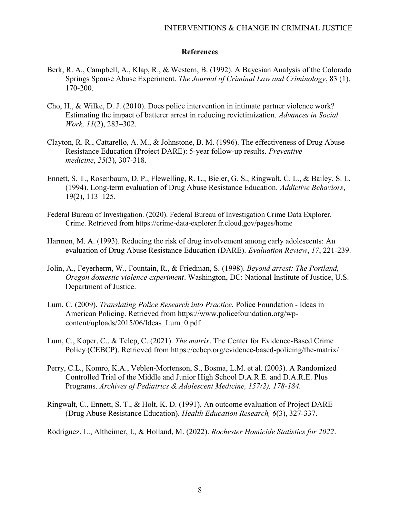## References

- Berk, R. A., Campbell, A., Klap, R., & Western, B. (1992). A Bayesian Analysis of the Colorado Springs Spouse Abuse Experiment. The Journal of Criminal Law and Criminology, 83 (1), 170-200.
- Cho, H., & Wilke, D. J. (2010). Does police intervention in intimate partner violence work? Estimating the impact of batterer arrest in reducing revictimization. Advances in Social Work, 11(2), 283–302.
- Clayton, R. R., Cattarello, A. M., & Johnstone, B. M. (1996). The effectiveness of Drug Abuse Resistance Education (Project DARE): 5-year follow-up results. Preventive medicine, 25(3), 307-318.
- Ennett, S. T., Rosenbaum, D. P., Flewelling, R. L., Bieler, G. S., Ringwalt, C. L., & Bailey, S. L. (1994). Long-term evaluation of Drug Abuse Resistance Education. Addictive Behaviors, 19(2), 113–125.
- Federal Bureau of Investigation. (2020). Federal Bureau of Investigation Crime Data Explorer. Crime. Retrieved from https://crime-data-explorer.fr.cloud.gov/pages/home
- Harmon, M. A. (1993). Reducing the risk of drug involvement among early adolescents: An evaluation of Drug Abuse Resistance Education (DARE). Evaluation Review, 17, 221-239.
- Jolin, A., Feyerherm, W., Fountain, R., & Friedman, S. (1998). Beyond arrest: The Portland, Oregon domestic violence experiment. Washington, DC: National Institute of Justice, U.S. Department of Justice.
- Lum, C. (2009). Translating Police Research into Practice. Police Foundation Ideas in American Policing. Retrieved from https://www.policefoundation.org/wpcontent/uploads/2015/06/Ideas\_Lum\_0.pdf
- Lum, C., Koper, C., & Telep, C. (2021). The matrix. The Center for Evidence-Based Crime Policy (CEBCP). Retrieved from https://cebcp.org/evidence-based-policing/the-matrix/
- Perry, C.L., Komro, K.A., Veblen-Mortenson, S., Bosma, L.M. et al. (2003). A Randomized Controlled Trial of the Middle and Junior High School D.A.R.E. and D.A.R.E. Plus Programs. Archives of Pediatrics & Adolescent Medicine, 157(2), 178-184.
- Ringwalt, C., Ennett, S. T., & Holt, K. D. (1991). An outcome evaluation of Project DARE (Drug Abuse Resistance Education). Health Education Research, 6(3), 327-337.

Rodriguez, L., Altheimer, I., & Holland, M. (2022). Rochester Homicide Statistics for 2022.